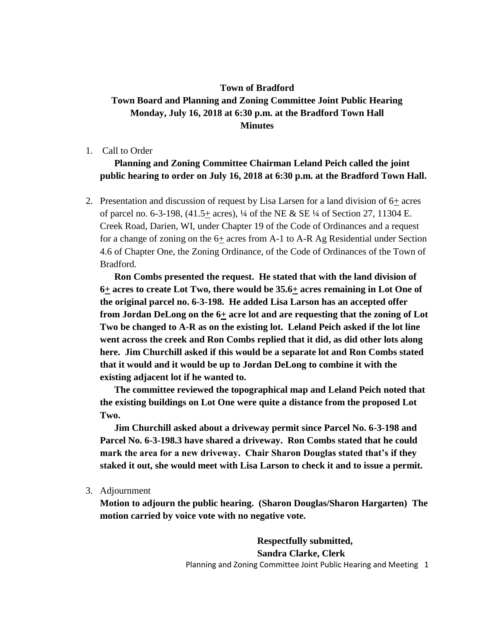## **Town of Bradford Town Board and Planning and Zoning Committee Joint Public Hearing Monday, July 16, 2018 at 6:30 p.m. at the Bradford Town Hall Minutes**

1. Call to Order

## **Planning and Zoning Committee Chairman Leland Peich called the joint public hearing to order on July 16, 2018 at 6:30 p.m. at the Bradford Town Hall.**

2. Presentation and discussion of request by Lisa Larsen for a land division of 6+ acres of parcel no. 6-3-198, (41.5+ acres), ¼ of the NE & SE ¼ of Section 27, 11304 E. Creek Road, Darien, WI, under Chapter 19 of the Code of Ordinances and a request for a change of zoning on the  $6\pm$  acres from A-1 to A-R Ag Residential under Section 4.6 of Chapter One, the Zoning Ordinance, of the Code of Ordinances of the Town of Bradford.

**Ron Combs presented the request. He stated that with the land division of 6+ acres to create Lot Two, there would be 35.6+ acres remaining in Lot One of the original parcel no. 6-3-198. He added Lisa Larson has an accepted offer from Jordan DeLong on the 6+ acre lot and are requesting that the zoning of Lot Two be changed to A-R as on the existing lot. Leland Peich asked if the lot line went across the creek and Ron Combs replied that it did, as did other lots along here. Jim Churchill asked if this would be a separate lot and Ron Combs stated that it would and it would be up to Jordan DeLong to combine it with the existing adjacent lot if he wanted to.** 

**The committee reviewed the topographical map and Leland Peich noted that the existing buildings on Lot One were quite a distance from the proposed Lot Two.** 

**Jim Churchill asked about a driveway permit since Parcel No. 6-3-198 and Parcel No. 6-3-198.3 have shared a driveway. Ron Combs stated that he could mark the area for a new driveway. Chair Sharon Douglas stated that's if they staked it out, she would meet with Lisa Larson to check it and to issue a permit.** 

3. Adjournment

**Motion to adjourn the public hearing. (Sharon Douglas/Sharon Hargarten) The motion carried by voice vote with no negative vote.** 

> Planning and Zoning Committee Joint Public Hearing and Meeting 1 **Respectfully submitted, Sandra Clarke, Clerk**